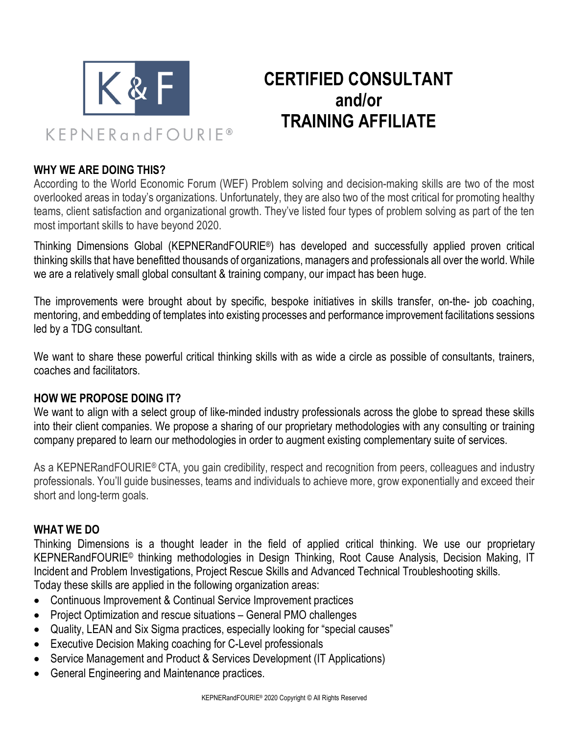

# **CERTIFIED CONSULTANT and/or TRAINING AFFILIATE**

# **WHY WE ARE DOING THIS?**

According to the World Economic Forum (WEF) Problem solving and decision-making skills are two of the most overlooked areas in today's organizations. Unfortunately, they are also two of the most critical for promoting healthy teams, client satisfaction and organizational growth. They've listed four types of problem solving as part of the ten most important skills to have beyond 2020.

Thinking Dimensions Global (KEPNERandFOURIE®) has developed and successfully applied proven critical thinking skills that have benefitted thousands of organizations, managers and professionals all over the world. While we are a relatively small global consultant & training company, our impact has been huge.

The improvements were brought about by specific, bespoke initiatives in skills transfer, on-the- job coaching, mentoring, and embedding of templates into existing processes and performance improvement facilitations sessions led by a TDG consultant.

We want to share these powerful critical thinking skills with as wide a circle as possible of consultants, trainers, coaches and facilitators.

#### **HOW WE PROPOSE DOING IT?**

We want to align with a select group of like-minded industry professionals across the globe to spread these skills into their client companies. We propose a sharing of our proprietary methodologies with any consulting or training company prepared to learn our methodologies in order to augment existing complementary suite of services.

As a KEPNERandFOURIE® CTA, you gain credibility, respect and recognition from peers, colleagues and industry professionals. You'll guide businesses, teams and individuals to achieve more, grow exponentially and exceed their short and long-term goals.

#### **WHAT WE DO**

Thinking Dimensions is a thought leader in the field of applied critical thinking. We use our proprietary KEPNERandFOURIE© thinking methodologies in Design Thinking, Root Cause Analysis, Decision Making, IT Incident and Problem Investigations, Project Rescue Skills and Advanced Technical Troubleshooting skills. Today these skills are applied in the following organization areas:

- Continuous Improvement & Continual Service Improvement practices
- Project Optimization and rescue situations General PMO challenges
- Quality, LEAN and Six Sigma practices, especially looking for "special causes"
- Executive Decision Making coaching for C-Level professionals
- Service Management and Product & Services Development (IT Applications)
- General Engineering and Maintenance practices.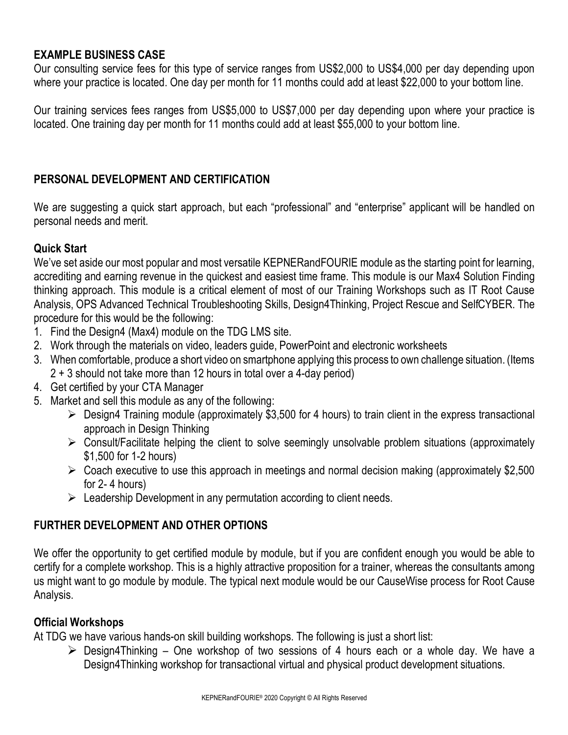# **EXAMPLE BUSINESS CASE**

Our consulting service fees for this type of service ranges from US\$2,000 to US\$4,000 per day depending upon where your practice is located. One day per month for 11 months could add at least \$22,000 to your bottom line.

Our training services fees ranges from US\$5,000 to US\$7,000 per day depending upon where your practice is located. One training day per month for 11 months could add at least \$55,000 to your bottom line.

# **PERSONAL DEVELOPMENT AND CERTIFICATION**

We are suggesting a quick start approach, but each "professional" and "enterprise" applicant will be handled on personal needs and merit.

# **Quick Start**

We've set aside our most popular and most versatile KEPNERandFOURIE module as the starting point for learning, accrediting and earning revenue in the quickest and easiest time frame. This module is our Max4 Solution Finding thinking approach. This module is a critical element of most of our Training Workshops such as IT Root Cause Analysis, OPS Advanced Technical Troubleshooting Skills, Design4Thinking, Project Rescue and SelfCYBER. The procedure for this would be the following:

- 1. Find the Design4 (Max4) module on the TDG LMS site.
- 2. Work through the materials on video, leaders guide, PowerPoint and electronic worksheets
- 3. When comfortable, produce a short video on smartphone applying this process to own challenge situation. (Items 2 + 3 should not take more than 12 hours in total over a 4-day period)
- 4. Get certified by your CTA Manager
- 5. Market and sell this module as any of the following:
	- $\triangleright$  Design4 Training module (approximately \$3,500 for 4 hours) to train client in the express transactional approach in Design Thinking
	- $\triangleright$  Consult/Facilitate helping the client to solve seemingly unsolvable problem situations (approximately \$1,500 for 1-2 hours)
	- $\triangleright$  Coach executive to use this approach in meetings and normal decision making (approximately \$2,500) for 2- 4 hours)
	- $\triangleright$  Leadership Development in any permutation according to client needs.

# **FURTHER DEVELOPMENT AND OTHER OPTIONS**

We offer the opportunity to get certified module by module, but if you are confident enough you would be able to certify for a complete workshop. This is a highly attractive proposition for a trainer, whereas the consultants among us might want to go module by module. The typical next module would be our CauseWise process for Root Cause Analysis.

#### **Official Workshops**

At TDG we have various hands-on skill building workshops. The following is just a short list:

 $\triangleright$  Design4Thinking – One workshop of two sessions of 4 hours each or a whole day. We have a Design4Thinking workshop for transactional virtual and physical product development situations.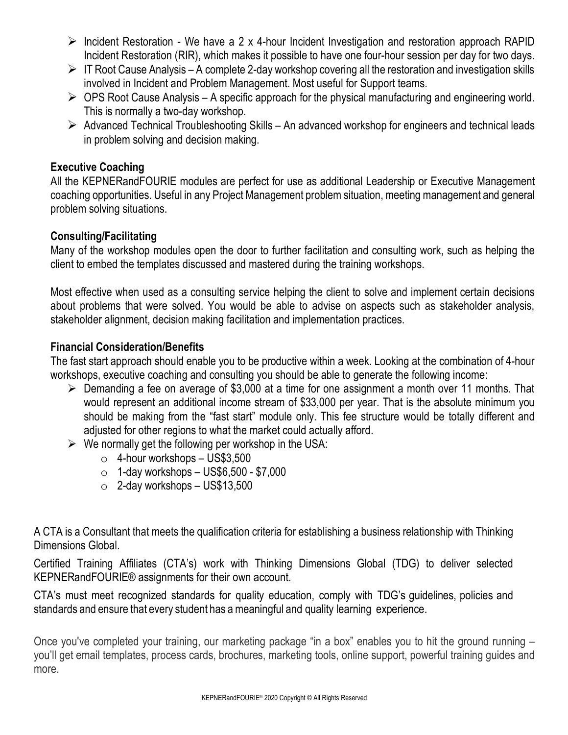- $\triangleright$  Incident Restoration We have a 2 x 4-hour Incident Investigation and restoration approach RAPID Incident Restoration (RIR), which makes it possible to have one four-hour session per day for two days.
- $\triangleright$  IT Root Cause Analysis A complete 2-day workshop covering all the restoration and investigation skills involved in Incident and Problem Management. Most useful for Support teams.
- $\triangleright$  OPS Root Cause Analysis A specific approach for the physical manufacturing and engineering world. This is normally a two-day workshop.
- $\triangleright$  Advanced Technical Troubleshooting Skills An advanced workshop for engineers and technical leads in problem solving and decision making.

# **Executive Coaching**

All the KEPNERandFOURIE modules are perfect for use as additional Leadership or Executive Management coaching opportunities. Useful in any Project Management problem situation, meeting management and general problem solving situations.

# **Consulting/Facilitating**

Many of the workshop modules open the door to further facilitation and consulting work, such as helping the client to embed the templates discussed and mastered during the training workshops.

Most effective when used as a consulting service helping the client to solve and implement certain decisions about problems that were solved. You would be able to advise on aspects such as stakeholder analysis, stakeholder alignment, decision making facilitation and implementation practices.

# **Financial Consideration/Benefits**

The fast start approach should enable you to be productive within a week. Looking at the combination of 4-hour workshops, executive coaching and consulting you should be able to generate the following income:

- $\triangleright$  Demanding a fee on average of \$3,000 at a time for one assignment a month over 11 months. That would represent an additional income stream of \$33,000 per year. That is the absolute minimum you should be making from the "fast start" module only. This fee structure would be totally different and adjusted for other regions to what the market could actually afford.
- $\triangleright$  We normally get the following per workshop in the USA:
	- $\circ$  4-hour workshops US\$3,500
	- $\circ$  1-day workshops US\$6,500 \$7,000
	- $\circ$  2-day workshops US\$13,500

A CTA is a Consultant that meets the qualification criteria for establishing a business relationship with Thinking Dimensions Global.

Certified Training Affiliates (CTA's) work with Thinking Dimensions Global (TDG) to deliver selected KEPNERandFOURIE® assignments for their own account.

CTA's must meet recognized standards for quality education, comply with TDG's guidelines, policies and standards and ensure that every student has a meaningful and quality learning experience.

Once you've completed your training, our marketing package "in a box" enables you to hit the ground running – you'll get email templates, process cards, brochures, marketing tools, online support, powerful training guides and more.